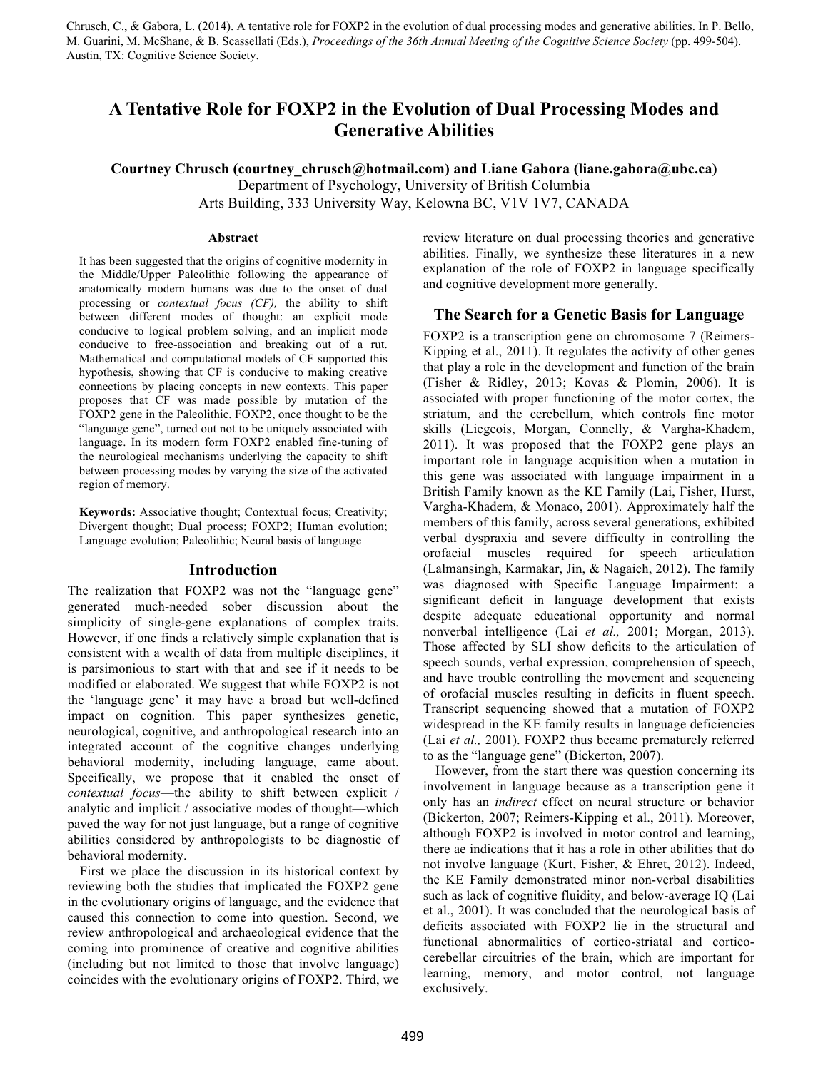Chrusch, C., & Gabora, L. (2014). A tentative role for FOXP2 in the evolution of dual processing modes and generative abilities. In P. Bello, M. Guarini, M. McShane, & B. Scassellati (Eds.), *Proceedings of the 36th Annual Meeting of the Cognitive Science Society* (pp. 499-504). Austin, TX: Cognitive Science Society.

# **A Tentative Role for FOXP2 in the Evolution of Dual Processing Modes and Generative Abilities**

**Courtney Chrusch (courtney\_chrusch@hotmail.com) and Liane Gabora (liane.gabora@ubc.ca)** Department of Psychology, University of British Columbia Arts Building, 333 University Way, Kelowna BC, V1V 1V7, CANADA

#### **Abstract**

It has been suggested that the origins of cognitive modernity in the Middle/Upper Paleolithic following the appearance of anatomically modern humans was due to the onset of dual processing or *contextual focus (CF),* the ability to shift between different modes of thought: an explicit mode conducive to logical problem solving, and an implicit mode conducive to free-association and breaking out of a rut. Mathematical and computational models of CF supported this hypothesis, showing that CF is conducive to making creative connections by placing concepts in new contexts. This paper proposes that CF was made possible by mutation of the FOXP2 gene in the Paleolithic. FOXP2, once thought to be the "language gene", turned out not to be uniquely associated with language. In its modern form FOXP2 enabled fine-tuning of the neurological mechanisms underlying the capacity to shift between processing modes by varying the size of the activated region of memory.

**Keywords:** Associative thought; Contextual focus; Creativity; Divergent thought; Dual process; FOXP2; Human evolution; Language evolution; Paleolithic; Neural basis of language

#### **Introduction**

The realization that FOXP2 was not the "language gene" generated much-needed sober discussion about the simplicity of single-gene explanations of complex traits. However, if one finds a relatively simple explanation that is consistent with a wealth of data from multiple disciplines, it is parsimonious to start with that and see if it needs to be modified or elaborated. We suggest that while FOXP2 is not the 'language gene' it may have a broad but well-defined impact on cognition. This paper synthesizes genetic, neurological, cognitive, and anthropological research into an integrated account of the cognitive changes underlying behavioral modernity, including language, came about. Specifically, we propose that it enabled the onset of *contextual focus*—the ability to shift between explicit / analytic and implicit / associative modes of thought—which paved the way for not just language, but a range of cognitive abilities considered by anthropologists to be diagnostic of behavioral modernity.

First we place the discussion in its historical context by reviewing both the studies that implicated the FOXP2 gene in the evolutionary origins of language, and the evidence that caused this connection to come into question. Second, we review anthropological and archaeological evidence that the coming into prominence of creative and cognitive abilities (including but not limited to those that involve language) coincides with the evolutionary origins of FOXP2. Third, we review literature on dual processing theories and generative abilities. Finally, we synthesize these literatures in a new explanation of the role of FOXP2 in language specifically and cognitive development more generally.

#### **The Search for a Genetic Basis for Language**

FOXP2 is a transcription gene on chromosome 7 (Reimers-Kipping et al., 2011). It regulates the activity of other genes that play a role in the development and function of the brain (Fisher & Ridley, 2013; Kovas & Plomin, 2006). It is associated with proper functioning of the motor cortex, the striatum, and the cerebellum, which controls fine motor skills (Liegeois, Morgan, Connelly, & Vargha-Khadem, 2011). It was proposed that the FOXP2 gene plays an important role in language acquisition when a mutation in this gene was associated with language impairment in a British Family known as the KE Family (Lai, Fisher, Hurst, Vargha-Khadem, & Monaco, 2001). Approximately half the members of this family, across several generations, exhibited verbal dyspraxia and severe difficulty in controlling the orofacial muscles required for speech articulation (Lalmansingh, Karmakar, Jin, & Nagaich, 2012). The family was diagnosed with Specific Language Impairment: a significant deficit in language development that exists despite adequate educational opportunity and normal nonverbal intelligence (Lai *et al.,* 2001; Morgan, 2013). Those affected by SLI show deficits to the articulation of speech sounds, verbal expression, comprehension of speech, and have trouble controlling the movement and sequencing of orofacial muscles resulting in deficits in fluent speech. Transcript sequencing showed that a mutation of FOXP2 widespread in the KE family results in language deficiencies (Lai *et al.,* 2001). FOXP2 thus became prematurely referred to as the "language gene" (Bickerton, 2007).

However, from the start there was question concerning its involvement in language because as a transcription gene it only has an *indirect* effect on neural structure or behavior (Bickerton, 2007; Reimers-Kipping et al., 2011). Moreover, although FOXP2 is involved in motor control and learning, there ae indications that it has a role in other abilities that do not involve language (Kurt, Fisher, & Ehret, 2012). Indeed, the KE Family demonstrated minor non-verbal disabilities such as lack of cognitive fluidity, and below-average IQ (Lai et al., 2001). It was concluded that the neurological basis of deficits associated with FOXP2 lie in the structural and functional abnormalities of cortico-striatal and corticocerebellar circuitries of the brain, which are important for learning, memory, and motor control, not language exclusively.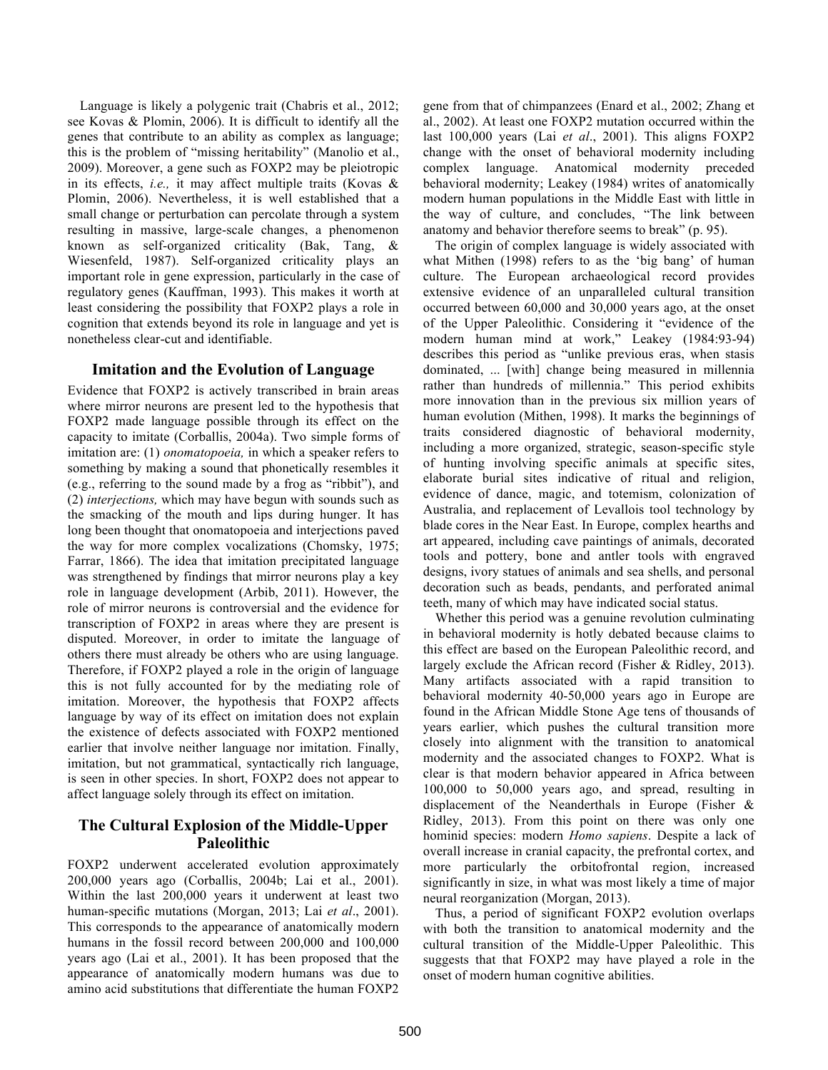Language is likely a polygenic trait (Chabris et al., 2012; see Kovas & Plomin, 2006). It is difficult to identify all the genes that contribute to an ability as complex as language; this is the problem of "missing heritability" (Manolio et al., 2009). Moreover, a gene such as FOXP2 may be pleiotropic in its effects, *i.e.,* it may affect multiple traits (Kovas & Plomin, 2006). Nevertheless, it is well established that a small change or perturbation can percolate through a system resulting in massive, large-scale changes, a phenomenon known as self-organized criticality (Bak, Tang, & Wiesenfeld, 1987). Self-organized criticality plays an important role in gene expression, particularly in the case of regulatory genes (Kauffman, 1993). This makes it worth at least considering the possibility that FOXP2 plays a role in cognition that extends beyond its role in language and yet is nonetheless clear-cut and identifiable.

## **Imitation and the Evolution of Language**

Evidence that FOXP2 is actively transcribed in brain areas where mirror neurons are present led to the hypothesis that FOXP2 made language possible through its effect on the capacity to imitate (Corballis, 2004a). Two simple forms of imitation are: (1) *onomatopoeia,* in which a speaker refers to something by making a sound that phonetically resembles it (e.g., referring to the sound made by a frog as "ribbit"), and (2) *interjections,* which may have begun with sounds such as the smacking of the mouth and lips during hunger. It has long been thought that onomatopoeia and interjections paved the way for more complex vocalizations (Chomsky, 1975; Farrar, 1866). The idea that imitation precipitated language was strengthened by findings that mirror neurons play a key role in language development (Arbib, 2011). However, the role of mirror neurons is controversial and the evidence for transcription of FOXP2 in areas where they are present is disputed. Moreover, in order to imitate the language of others there must already be others who are using language. Therefore, if FOXP2 played a role in the origin of language this is not fully accounted for by the mediating role of imitation. Moreover, the hypothesis that FOXP2 affects language by way of its effect on imitation does not explain the existence of defects associated with FOXP2 mentioned earlier that involve neither language nor imitation. Finally, imitation, but not grammatical, syntactically rich language, is seen in other species. In short, FOXP2 does not appear to affect language solely through its effect on imitation.

## **The Cultural Explosion of the Middle-Upper Paleolithic**

FOXP2 underwent accelerated evolution approximately 200,000 years ago (Corballis, 2004b; Lai et al., 2001). Within the last 200,000 years it underwent at least two human-specific mutations (Morgan, 2013; Lai *et al*., 2001). This corresponds to the appearance of anatomically modern humans in the fossil record between 200,000 and 100,000 years ago (Lai et al., 2001). It has been proposed that the appearance of anatomically modern humans was due to amino acid substitutions that differentiate the human FOXP2 gene from that of chimpanzees (Enard et al., 2002; Zhang et al., 2002). At least one FOXP2 mutation occurred within the last 100,000 years (Lai *et al*., 2001). This aligns FOXP2 change with the onset of behavioral modernity including complex language. Anatomical modernity preceded behavioral modernity; Leakey (1984) writes of anatomically modern human populations in the Middle East with little in the way of culture, and concludes, "The link between anatomy and behavior therefore seems to break" (p. 95).

The origin of complex language is widely associated with what Mithen (1998) refers to as the 'big bang' of human culture. The European archaeological record provides extensive evidence of an unparalleled cultural transition occurred between 60,000 and 30,000 years ago, at the onset of the Upper Paleolithic. Considering it "evidence of the modern human mind at work," Leakey (1984:93-94) describes this period as "unlike previous eras, when stasis dominated, ... [with] change being measured in millennia rather than hundreds of millennia." This period exhibits more innovation than in the previous six million years of human evolution (Mithen, 1998). It marks the beginnings of traits considered diagnostic of behavioral modernity, including a more organized, strategic, season-specific style of hunting involving specific animals at specific sites, elaborate burial sites indicative of ritual and religion, evidence of dance, magic, and totemism, colonization of Australia, and replacement of Levallois tool technology by blade cores in the Near East. In Europe, complex hearths and art appeared, including cave paintings of animals, decorated tools and pottery, bone and antler tools with engraved designs, ivory statues of animals and sea shells, and personal decoration such as beads, pendants, and perforated animal teeth, many of which may have indicated social status.

Whether this period was a genuine revolution culminating in behavioral modernity is hotly debated because claims to this effect are based on the European Paleolithic record, and largely exclude the African record (Fisher & Ridley, 2013). Many artifacts associated with a rapid transition to behavioral modernity 40-50,000 years ago in Europe are found in the African Middle Stone Age tens of thousands of years earlier, which pushes the cultural transition more closely into alignment with the transition to anatomical modernity and the associated changes to FOXP2. What is clear is that modern behavior appeared in Africa between 100,000 to 50,000 years ago, and spread, resulting in displacement of the Neanderthals in Europe (Fisher & Ridley, 2013). From this point on there was only one hominid species: modern *Homo sapiens*. Despite a lack of overall increase in cranial capacity, the prefrontal cortex, and more particularly the orbitofrontal region, increased significantly in size, in what was most likely a time of major neural reorganization (Morgan, 2013).

Thus, a period of significant FOXP2 evolution overlaps with both the transition to anatomical modernity and the cultural transition of the Middle-Upper Paleolithic. This suggests that that FOXP2 may have played a role in the onset of modern human cognitive abilities.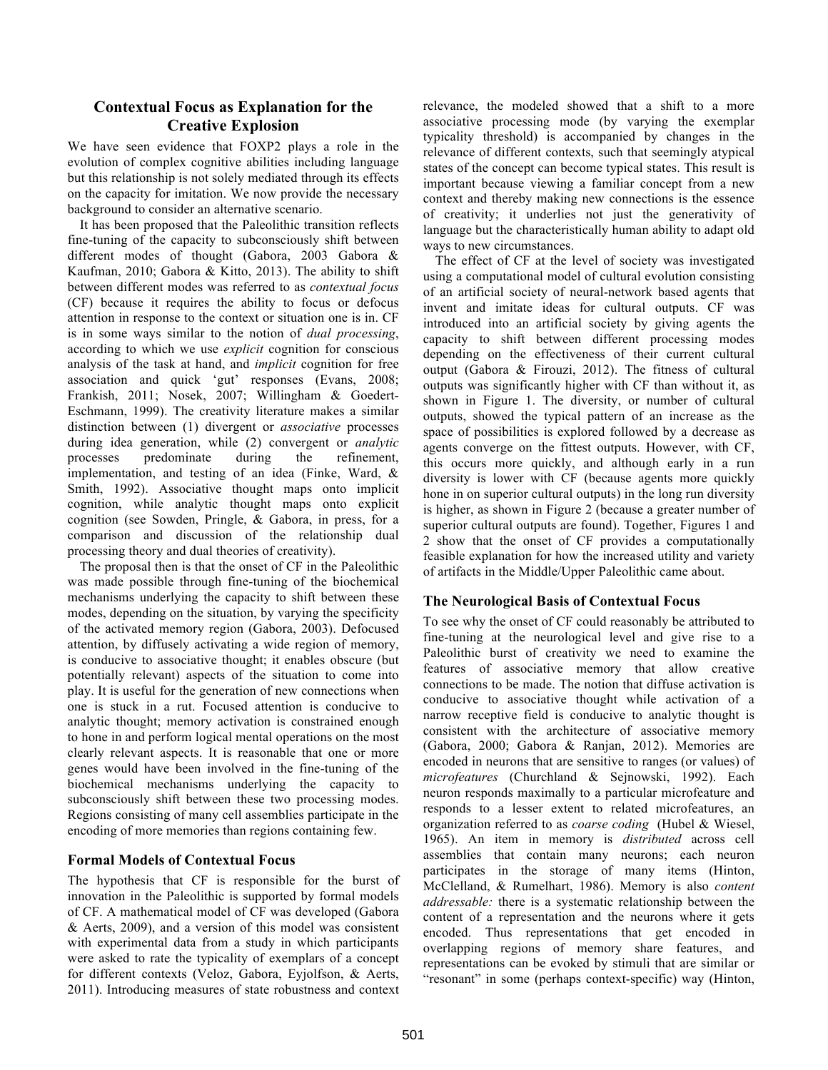## **Contextual Focus as Explanation for the Creative Explosion**

We have seen evidence that FOXP2 plays a role in the evolution of complex cognitive abilities including language but this relationship is not solely mediated through its effects on the capacity for imitation. We now provide the necessary background to consider an alternative scenario.

It has been proposed that the Paleolithic transition reflects fine-tuning of the capacity to subconsciously shift between different modes of thought (Gabora, 2003 Gabora & Kaufman, 2010; Gabora & Kitto, 2013). The ability to shift between different modes was referred to as *contextual focus* (CF) because it requires the ability to focus or defocus attention in response to the context or situation one is in. CF is in some ways similar to the notion of *dual processing*, according to which we use *explicit* cognition for conscious analysis of the task at hand, and *implicit* cognition for free association and quick 'gut' responses (Evans, 2008; Frankish, 2011; Nosek, 2007; Willingham & Goedert-Eschmann, 1999). The creativity literature makes a similar distinction between (1) divergent or *associative* processes during idea generation, while (2) convergent or *analytic* processes predominate during the refinement. processes predominate during the refinement, implementation, and testing of an idea (Finke, Ward, & Smith, 1992). Associative thought maps onto implicit cognition, while analytic thought maps onto explicit cognition (see Sowden, Pringle, & Gabora, in press, for a comparison and discussion of the relationship dual processing theory and dual theories of creativity).

The proposal then is that the onset of CF in the Paleolithic was made possible through fine-tuning of the biochemical mechanisms underlying the capacity to shift between these modes, depending on the situation, by varying the specificity of the activated memory region (Gabora, 2003). Defocused attention, by diffusely activating a wide region of memory, is conducive to associative thought; it enables obscure (but potentially relevant) aspects of the situation to come into play. It is useful for the generation of new connections when one is stuck in a rut. Focused attention is conducive to analytic thought; memory activation is constrained enough to hone in and perform logical mental operations on the most clearly relevant aspects. It is reasonable that one or more genes would have been involved in the fine-tuning of the biochemical mechanisms underlying the capacity to subconsciously shift between these two processing modes. Regions consisting of many cell assemblies participate in the encoding of more memories than regions containing few.

## **Formal Models of Contextual Focus**

The hypothesis that CF is responsible for the burst of innovation in the Paleolithic is supported by formal models of CF. A mathematical model of CF was developed (Gabora & Aerts, 2009), and a version of this model was consistent with experimental data from a study in which participants were asked to rate the typicality of exemplars of a concept for different contexts (Veloz, Gabora, Eyjolfson, & Aerts, 2011). Introducing measures of state robustness and context

relevance, the modeled showed that a shift to a more associative processing mode (by varying the exemplar typicality threshold) is accompanied by changes in the relevance of different contexts, such that seemingly atypical states of the concept can become typical states. This result is important because viewing a familiar concept from a new context and thereby making new connections is the essence of creativity; it underlies not just the generativity of language but the characteristically human ability to adapt old ways to new circumstances.

The effect of CF at the level of society was investigated using a computational model of cultural evolution consisting of an artificial society of neural-network based agents that invent and imitate ideas for cultural outputs. CF was introduced into an artificial society by giving agents the capacity to shift between different processing modes depending on the effectiveness of their current cultural output (Gabora & Firouzi, 2012). The fitness of cultural outputs was significantly higher with CF than without it, as shown in Figure 1. The diversity, or number of cultural outputs, showed the typical pattern of an increase as the space of possibilities is explored followed by a decrease as agents converge on the fittest outputs. However, with CF, this occurs more quickly, and although early in a run diversity is lower with CF (because agents more quickly hone in on superior cultural outputs) in the long run diversity is higher, as shown in Figure 2 (because a greater number of superior cultural outputs are found). Together, Figures 1 and 2 show that the onset of CF provides a computationally feasible explanation for how the increased utility and variety of artifacts in the Middle/Upper Paleolithic came about.

## **The Neurological Basis of Contextual Focus**

To see why the onset of CF could reasonably be attributed to fine-tuning at the neurological level and give rise to a Paleolithic burst of creativity we need to examine the features of associative memory that allow creative connections to be made. The notion that diffuse activation is conducive to associative thought while activation of a narrow receptive field is conducive to analytic thought is consistent with the architecture of associative memory (Gabora, 2000; Gabora & Ranjan, 2012). Memories are encoded in neurons that are sensitive to ranges (or values) of *microfeatures* (Churchland & Sejnowski, 1992). Each neuron responds maximally to a particular microfeature and responds to a lesser extent to related microfeatures, an organization referred to as *coarse coding* (Hubel & Wiesel, 1965). An item in memory is *distributed* across cell assemblies that contain many neurons; each neuron participates in the storage of many items (Hinton, McClelland, & Rumelhart, 1986). Memory is also *content addressable:* there is a systematic relationship between the content of a representation and the neurons where it gets encoded. Thus representations that get encoded in overlapping regions of memory share features, and representations can be evoked by stimuli that are similar or "resonant" in some (perhaps context-specific) way (Hinton,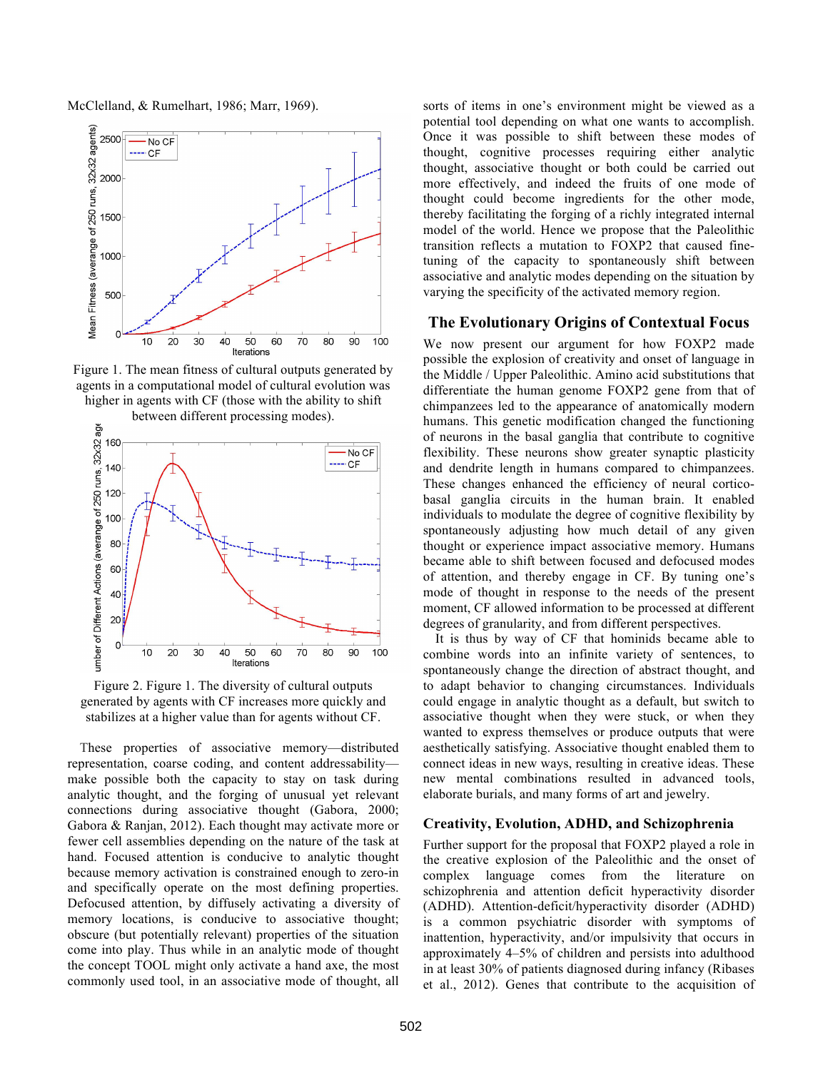McClelland, & Rumelhart, 1986; Marr, 1969).



Figure 1. The mean fitness of cultural outputs generated by agents in a computational model of cultural evolution was higher in agents with CF (those with the ability to shift



Figure 2. Figure 1. The diversity of cultural outputs generated by agents with CF increases more quickly and stabilizes at a higher value than for agents without CF.

These properties of associative memory—distributed representation, coarse coding, and content addressability make possible both the capacity to stay on task during analytic thought, and the forging of unusual yet relevant connections during associative thought (Gabora, 2000; Gabora & Ranjan, 2012). Each thought may activate more or fewer cell assemblies depending on the nature of the task at hand. Focused attention is conducive to analytic thought because memory activation is constrained enough to zero-in and specifically operate on the most defining properties. Defocused attention, by diffusely activating a diversity of memory locations, is conducive to associative thought; obscure (but potentially relevant) properties of the situation come into play. Thus while in an analytic mode of thought the concept TOOL might only activate a hand axe, the most commonly used tool, in an associative mode of thought, all

sorts of items in one's environment might be viewed as a potential tool depending on what one wants to accomplish. Once it was possible to shift between these modes of thought, cognitive processes requiring either analytic thought, associative thought or both could be carried out more effectively, and indeed the fruits of one mode of thought could become ingredients for the other mode, thereby facilitating the forging of a richly integrated internal model of the world. Hence we propose that the Paleolithic transition reflects a mutation to FOXP2 that caused finetuning of the capacity to spontaneously shift between associative and analytic modes depending on the situation by varying the specificity of the activated memory region.

#### **The Evolutionary Origins of Contextual Focus**

We now present our argument for how FOXP2 made possible the explosion of creativity and onset of language in the Middle / Upper Paleolithic. Amino acid substitutions that differentiate the human genome FOXP2 gene from that of chimpanzees led to the appearance of anatomically modern humans. This genetic modification changed the functioning of neurons in the basal ganglia that contribute to cognitive flexibility. These neurons show greater synaptic plasticity and dendrite length in humans compared to chimpanzees. These changes enhanced the efficiency of neural corticobasal ganglia circuits in the human brain. It enabled individuals to modulate the degree of cognitive flexibility by spontaneously adjusting how much detail of any given thought or experience impact associative memory. Humans became able to shift between focused and defocused modes of attention, and thereby engage in CF. By tuning one's mode of thought in response to the needs of the present moment, CF allowed information to be processed at different degrees of granularity, and from different perspectives.

It is thus by way of CF that hominids became able to combine words into an infinite variety of sentences, to spontaneously change the direction of abstract thought, and to adapt behavior to changing circumstances. Individuals could engage in analytic thought as a default, but switch to associative thought when they were stuck, or when they wanted to express themselves or produce outputs that were aesthetically satisfying. Associative thought enabled them to connect ideas in new ways, resulting in creative ideas. These new mental combinations resulted in advanced tools, elaborate burials, and many forms of art and jewelry.

## **Creativity, Evolution, ADHD, and Schizophrenia**

Further support for the proposal that FOXP2 played a role in the creative explosion of the Paleolithic and the onset of complex language comes from the literature on schizophrenia and attention deficit hyperactivity disorder (ADHD). Attention-deficit/hyperactivity disorder (ADHD) is a common psychiatric disorder with symptoms of inattention, hyperactivity, and/or impulsivity that occurs in approximately 4–5% of children and persists into adulthood in at least 30% of patients diagnosed during infancy (Ribases et al., 2012). Genes that contribute to the acquisition of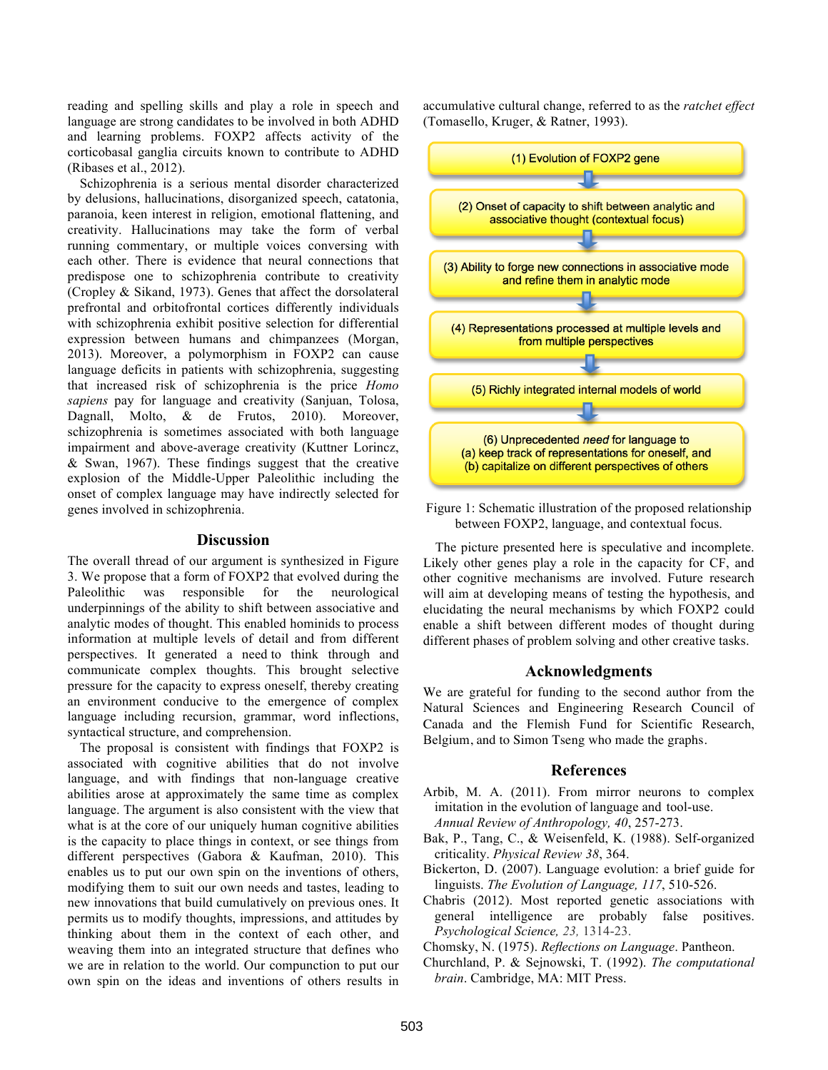reading and spelling skills and play a role in speech and language are strong candidates to be involved in both ADHD and learning problems. FOXP2 affects activity of the corticobasal ganglia circuits known to contribute to ADHD (Ribases et al., 2012).

Schizophrenia is a serious mental disorder characterized by delusions, hallucinations, disorganized speech, catatonia, paranoia, keen interest in religion, emotional flattening, and creativity. Hallucinations may take the form of verbal running commentary, or multiple voices conversing with each other. There is evidence that neural connections that predispose one to schizophrenia contribute to creativity (Cropley & Sikand, 1973). Genes that affect the dorsolateral prefrontal and orbitofrontal cortices differently individuals with schizophrenia exhibit positive selection for differential expression between humans and chimpanzees (Morgan, 2013). Moreover, a polymorphism in FOXP2 can cause language deficits in patients with schizophrenia, suggesting that increased risk of schizophrenia is the price *Homo sapiens* pay for language and creativity (Sanjuan, Tolosa, Dagnall, Molto, & de Frutos, 2010). Moreover, schizophrenia is sometimes associated with both language impairment and above-average creativity (Kuttner Lorincz, & Swan, 1967). These findings suggest that the creative explosion of the Middle-Upper Paleolithic including the onset of complex language may have indirectly selected for genes involved in schizophrenia.

#### **Discussion**

The overall thread of our argument is synthesized in Figure 3. We propose that a form of FOXP2 that evolved during the Paleolithic was responsible for the neurological underpinnings of the ability to shift between associative and analytic modes of thought. This enabled hominids to process information at multiple levels of detail and from different perspectives. It generated a need to think through and communicate complex thoughts. This brought selective pressure for the capacity to express oneself, thereby creating an environment conducive to the emergence of complex language including recursion, grammar, word inflections, syntactical structure, and comprehension.

The proposal is consistent with findings that FOXP2 is associated with cognitive abilities that do not involve language, and with findings that non-language creative abilities arose at approximately the same time as complex language. The argument is also consistent with the view that what is at the core of our uniquely human cognitive abilities is the capacity to place things in context, or see things from different perspectives (Gabora & Kaufman, 2010). This enables us to put our own spin on the inventions of others, modifying them to suit our own needs and tastes, leading to new innovations that build cumulatively on previous ones. It permits us to modify thoughts, impressions, and attitudes by thinking about them in the context of each other, and weaving them into an integrated structure that defines who we are in relation to the world. Our compunction to put our own spin on the ideas and inventions of others results in accumulative cultural change, referred to as the *ratchet effect* (Tomasello, Kruger, & Ratner, 1993).



Figure 1: Schematic illustration of the proposed relationship between FOXP2, language, and contextual focus.

The picture presented here is speculative and incomplete. Likely other genes play a role in the capacity for CF, and other cognitive mechanisms are involved. Future research will aim at developing means of testing the hypothesis, and elucidating the neural mechanisms by which FOXP2 could enable a shift between different modes of thought during different phases of problem solving and other creative tasks.

#### **Acknowledgments**

We are grateful for funding to the second author from the Natural Sciences and Engineering Research Council of Canada and the Flemish Fund for Scientific Research, Belgium, and to Simon Tseng who made the graphs.

#### **References**

- Arbib, M. A. (2011). From mirror neurons to complex imitation in the evolution of language and tool-use. *Annual Review of Anthropology, 40*, 257-273.
- Bak, P., Tang, C., & Weisenfeld, K. (1988). Self-organized criticality. *Physical Review 38*, 364.
- Bickerton, D. (2007). Language evolution: a brief guide for linguists. *The Evolution of Language, 117*, 510-526.
- Chabris (2012). Most reported genetic associations with general intelligence are probably false positives. *Psychological Science, 23,* 1314-23.
- Chomsky, N. (1975). *Reflections on Language*. Pantheon.
- Churchland, P. & Sejnowski, T. (1992). *The computational brain*. Cambridge, MA: MIT Press.